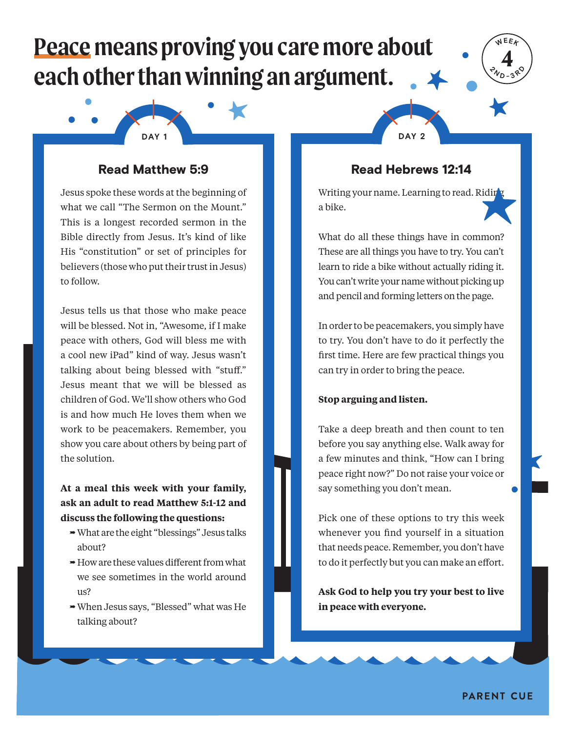# **Peace means proving you care more about each other than winning an argument.**





## Read Matthew 5:9

Jesus spoke these words at the beginning of what we call "The Sermon on the Mount." This is a longest recorded sermon in the Bible directly from Jesus. It's kind of like His "constitution" or set of principles for believers (those who put their trust in Jesus) to follow.

Jesus tells us that those who make peace will be blessed. Not in, "Awesome, if I make peace with others, God will bless me with a cool new iPad" kind of way. Jesus wasn't talking about being blessed with "stuff." Jesus meant that we will be blessed as children of God. We'll show others who God is and how much He loves them when we work to be peacemakers. Remember, you show you care about others by being part of the solution.

**At a meal this week with your family, ask an adult to read Matthew 5:1-12 and discuss the following the questions:**

- What are the eight "blessings" Jesus talks about?
- $\rightarrow$  How are these values different from what we see sometimes in the world around us?
- When Jesus says, "Blessed" what was He talking about?

## Read Hebrews 12:14

Writing your name. Learning to read. Ridir a bike.

What do all these things have in common? These are all things you have to try. You can't learn to ride a bike without actually riding it. You can't write your name without picking up and pencil and forming letters on the page.

In order to be peacemakers, you simply have to try. You don't have to do it perfectly the first time. Here are few practical things you can try in order to bring the peace.

#### **Stop arguing and listen.**

Take a deep breath and then count to ten before you say anything else. Walk away for a few minutes and think, "How can I bring peace right now?" Do not raise your voice or say something you don't mean.

Pick one of these options to try this week whenever you find yourself in a situation that needs peace. Remember, you don't have to do it perfectly but you can make an effort.

**Ask God to help you try your best to live in peace with everyone.**

**PARENT CUE**